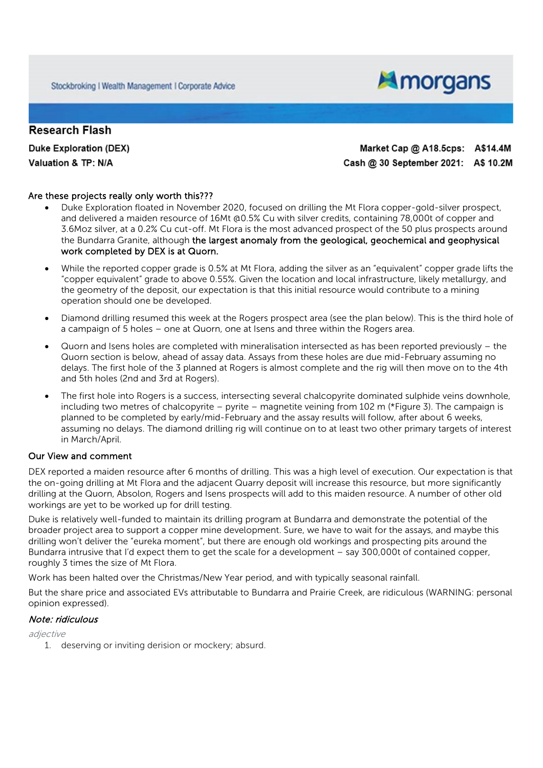

# **Research Flash**

Duke Exploration (DEX) Valuation & TP: N/A

Market Cap @ A18.5cps: A\$14.4M Cash @ 30 September 2021: A\$ 10.2M

## Are these projects really only worth this???

- Duke Exploration floated in November 2020, focused on drilling the Mt Flora copper-gold-silver prospect, and delivered a maiden resource of 16Mt @0.5% Cu with silver credits, containing 78,000t of copper and 3.6Moz silver, at a 0.2% Cu cut-off. Mt Flora is the most advanced prospect of the 50 plus prospects around the Bundarra Granite, although the largest anomaly from the geological, geochemical and geophysical work completed by DEX is at Quorn.
- While the reported copper grade is 0.5% at Mt Flora, adding the silver as an "equivalent" copper grade lifts the "copper equivalent" grade to above 0.55%. Given the location and local infrastructure, likely metallurgy, and the geometry of the deposit, our expectation is that this initial resource would contribute to a mining operation should one be developed.
- Diamond drilling resumed this week at the Rogers prospect area (see the plan below). This is the third hole of a campaign of 5 holes – one at Quorn, one at Isens and three within the Rogers area.
- Quorn and Isens holes are completed with mineralisation intersected as has been reported previously the Quorn section is below, ahead of assay data. Assays from these holes are due mid-February assuming no delays. The first hole of the 3 planned at Rogers is almost complete and the rig will then move on to the 4th and 5th holes (2nd and 3rd at Rogers).
- The first hole into Rogers is a success, intersecting several chalcopyrite dominated sulphide veins downhole, including two metres of chalcopyrite – pyrite – magnetite veining from 102 m (\*Figure 3). The campaign is planned to be completed by early/mid-February and the assay results will follow, after about 6 weeks, assuming no delays. The diamond drilling rig will continue on to at least two other primary targets of interest in March/April.

### Our View and comment

DEX reported a maiden resource after 6 months of drilling. This was a high level of execution. Our expectation is that the on-going drilling at Mt Flora and the adjacent Quarry deposit will increase this resource, but more significantly drilling at the Quorn, Absolon, Rogers and Isens prospects will add to this maiden resource. A number of other old workings are yet to be worked up for drill testing.

Duke is relatively well-funded to maintain its drilling program at Bundarra and demonstrate the potential of the broader project area to support a copper mine development. Sure, we have to wait for the assays, and maybe this drilling won't deliver the "eureka moment", but there are enough old workings and prospecting pits around the Bundarra intrusive that I'd expect them to get the scale for a development – say 300,000t of contained copper, roughly 3 times the size of Mt Flora.

Work has been halted over the Christmas/New Year period, and with typically seasonal rainfall.

But the share price and associated EVs attributable to Bundarra and Prairie Creek, are ridiculous (WARNING: personal opinion expressed).

### Note: ridiculous

adjective

1. deserving or inviting derision or mockery; absurd.